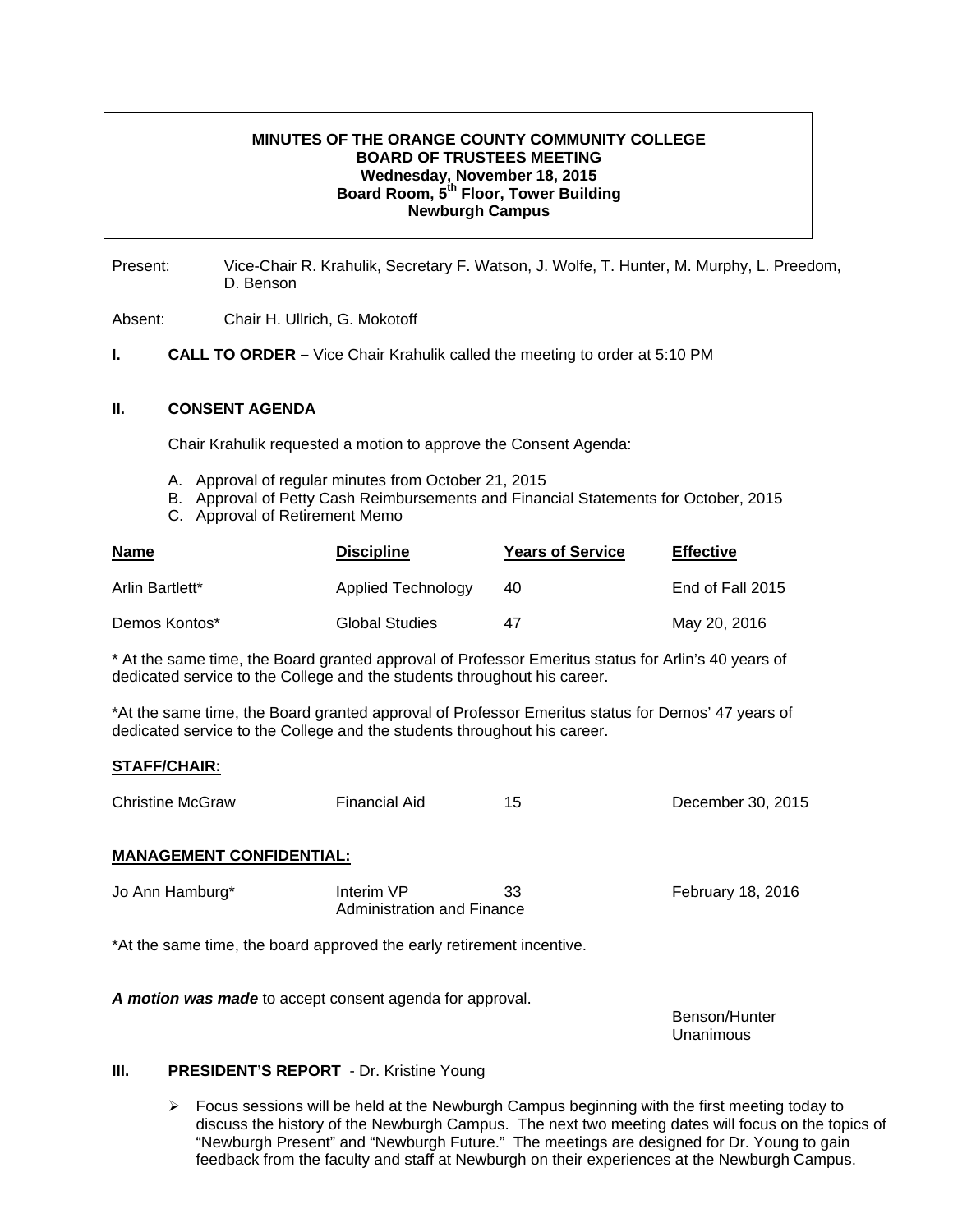# **MINUTES OF THE ORANGE COUNTY COMMUNITY COLLEGE BOARD OF TRUSTEES MEETING Wednesday, November 18, 2015 Board Room, 5th Floor, Tower Building Newburgh Campus**

Present: Vice-Chair R. Krahulik, Secretary F. Watson, J. Wolfe, T. Hunter, M. Murphy, L. Preedom, D. Benson

Absent: Chair H. Ullrich, G. Mokotoff

**I. CALL TO ORDER –** Vice Chair Krahulik called the meeting to order at 5:10 PM

#### **II. CONSENT AGENDA**

Chair Krahulik requested a motion to approve the Consent Agenda:

- A. Approval of regular minutes from October 21, 2015
- B. Approval of Petty Cash Reimbursements and Financial Statements for October, 2015
- C. Approval of Retirement Memo

| <b>Name</b>     | <b>Discipline</b>  | <b>Years of Service</b> | <b>Effective</b> |
|-----------------|--------------------|-------------------------|------------------|
| Arlin Bartlett* | Applied Technology | 40                      | End of Fall 2015 |
| Demos Kontos*   | Global Studies     | 47                      | May 20, 2016     |

\* At the same time, the Board granted approval of Professor Emeritus status for Arlin's 40 years of dedicated service to the College and the students throughout his career.

\*At the same time, the Board granted approval of Professor Emeritus status for Demos' 47 years of dedicated service to the College and the students throughout his career.

### **STAFF/CHAIR:**

| <b>Christine McGraw</b> | <b>Financial Aid</b> |  | December 30, 2015 |
|-------------------------|----------------------|--|-------------------|
|-------------------------|----------------------|--|-------------------|

### **MANAGEMENT CONFIDENTIAL:**

| Jo Ann Hamburg* | Interim VP                 | 33 | February 18, 2016 |
|-----------------|----------------------------|----|-------------------|
|                 | Administration and Finance |    |                   |

\*At the same time, the board approved the early retirement incentive.

*A motion was made* to accept consent agenda for approval.

 Benson/Hunter Unanimous

### **III.** PRESIDENT'S REPORT - Dr. Kristine Young

 $\triangleright$  Focus sessions will be held at the Newburgh Campus beginning with the first meeting today to discuss the history of the Newburgh Campus. The next two meeting dates will focus on the topics of "Newburgh Present" and "Newburgh Future." The meetings are designed for Dr. Young to gain feedback from the faculty and staff at Newburgh on their experiences at the Newburgh Campus.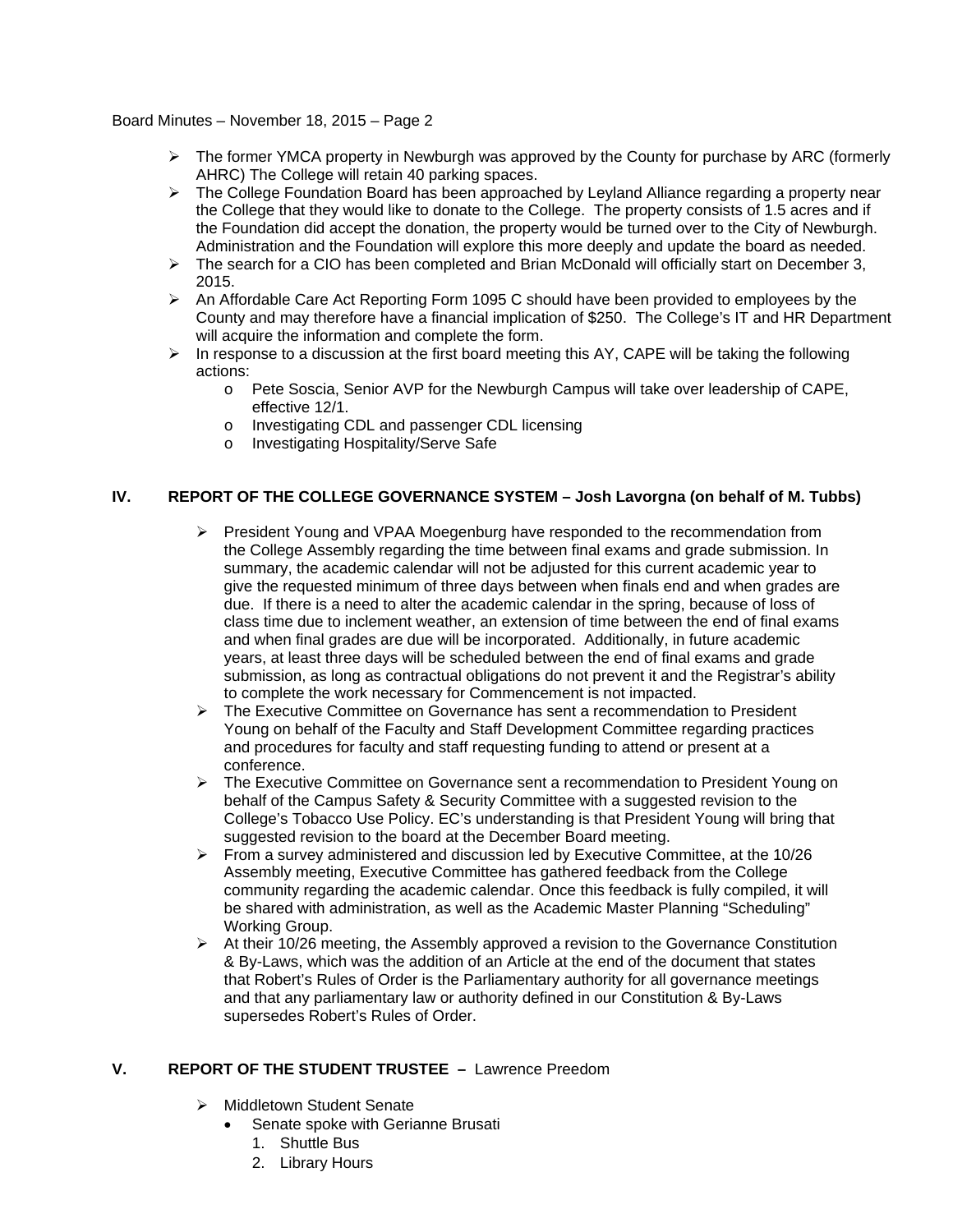## Board Minutes – November 18, 2015 – Page 2

- $\triangleright$  The former YMCA property in Newburgh was approved by the County for purchase by ARC (formerly AHRC) The College will retain 40 parking spaces.
- $\triangleright$  The College Foundation Board has been approached by Leyland Alliance regarding a property near the College that they would like to donate to the College. The property consists of 1.5 acres and if the Foundation did accept the donation, the property would be turned over to the City of Newburgh. Administration and the Foundation will explore this more deeply and update the board as needed.
- ¾ The search for a CIO has been completed and Brian McDonald will officially start on December 3, 2015.
- $\triangleright$  An Affordable Care Act Reporting Form 1095 C should have been provided to employees by the County and may therefore have a financial implication of \$250. The College's IT and HR Department will acquire the information and complete the form.
- $\triangleright$  In response to a discussion at the first board meeting this AY, CAPE will be taking the following actions:
	- o Pete Soscia, Senior AVP for the Newburgh Campus will take over leadership of CAPE, effective 12/1.
	- o Investigating CDL and passenger CDL licensing
	- o Investigating Hospitality/Serve Safe

# **IV. REPORT OF THE COLLEGE GOVERNANCE SYSTEM – Josh Lavorgna (on behalf of M. Tubbs)**

- $\triangleright$  President Young and VPAA Moegenburg have responded to the recommendation from the College Assembly regarding the time between final exams and grade submission. In summary, the academic calendar will not be adjusted for this current academic year to give the requested minimum of three days between when finals end and when grades are due. If there is a need to alter the academic calendar in the spring, because of loss of class time due to inclement weather, an extension of time between the end of final exams and when final grades are due will be incorporated. Additionally, in future academic years, at least three days will be scheduled between the end of final exams and grade submission, as long as contractual obligations do not prevent it and the Registrar's ability to complete the work necessary for Commencement is not impacted.
- $\triangleright$  The Executive Committee on Governance has sent a recommendation to President Young on behalf of the Faculty and Staff Development Committee regarding practices and procedures for faculty and staff requesting funding to attend or present at a conference.
- ¾ The Executive Committee on Governance sent a recommendation to President Young on behalf of the Campus Safety & Security Committee with a suggested revision to the College's Tobacco Use Policy. EC's understanding is that President Young will bring that suggested revision to the board at the December Board meeting.
- $\triangleright$  From a survey administered and discussion led by Executive Committee, at the 10/26 Assembly meeting, Executive Committee has gathered feedback from the College community regarding the academic calendar. Once this feedback is fully compiled, it will be shared with administration, as well as the Academic Master Planning "Scheduling" Working Group.
- $\triangleright$  At their 10/26 meeting, the Assembly approved a revision to the Governance Constitution & By-Laws, which was the addition of an Article at the end of the document that states that Robert's Rules of Order is the Parliamentary authority for all governance meetings and that any parliamentary law or authority defined in our Constitution & By-Laws supersedes Robert's Rules of Order.

# **V. REPORT OF THE STUDENT TRUSTEE –** Lawrence Preedom

- ¾ Middletown Student Senate
	- Senate spoke with Gerianne Brusati
		- 1. Shuttle Bus
		- 2. Library Hours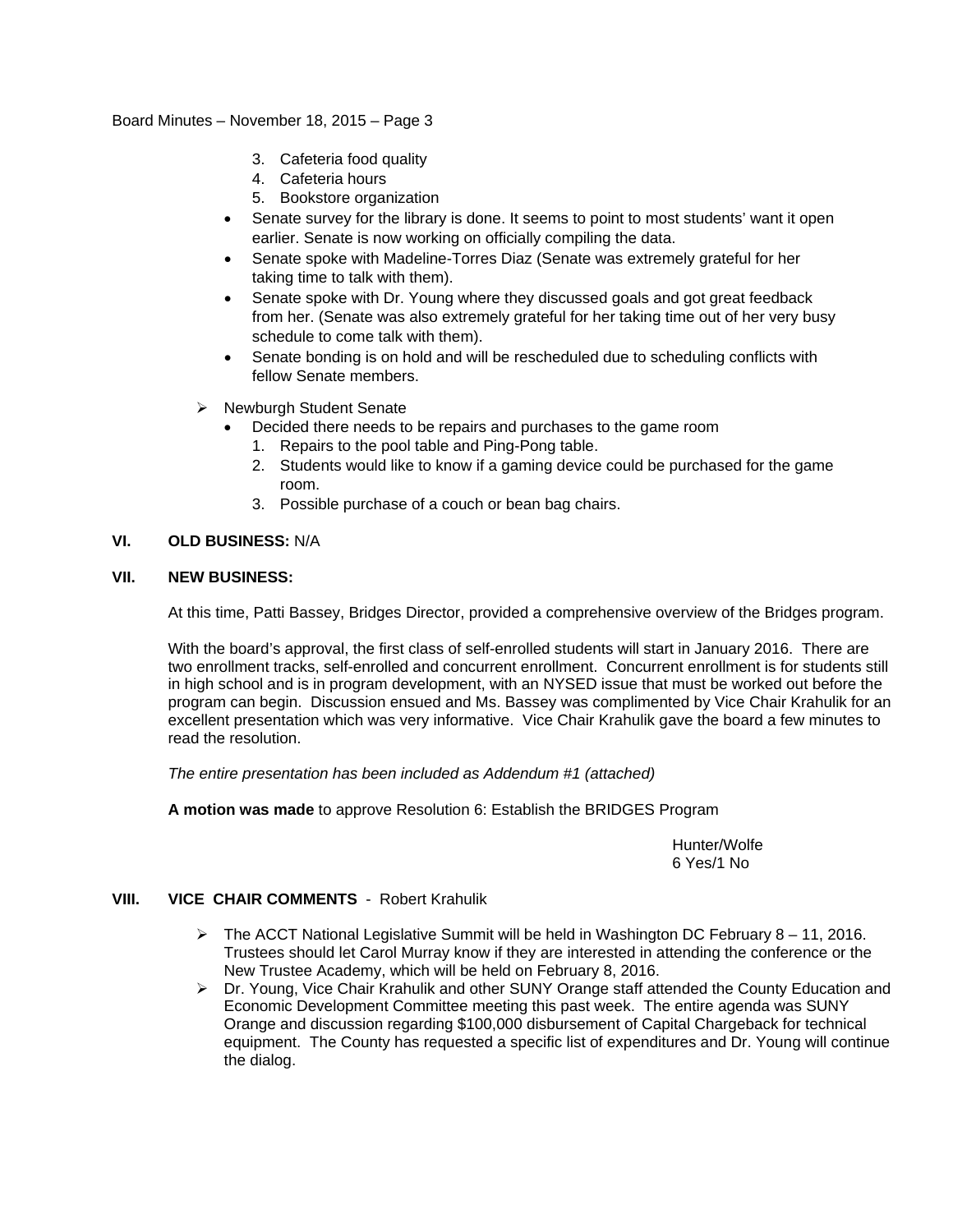## Board Minutes – November 18, 2015 – Page 3

- 3. Cafeteria food quality
- 4. Cafeteria hours
- 5. Bookstore organization
- Senate survey for the library is done. It seems to point to most students' want it open earlier. Senate is now working on officially compiling the data.
- Senate spoke with Madeline-Torres Diaz (Senate was extremely grateful for her taking time to talk with them).
- Senate spoke with Dr. Young where they discussed goals and got great feedback from her. (Senate was also extremely grateful for her taking time out of her very busy schedule to come talk with them).
- Senate bonding is on hold and will be rescheduled due to scheduling conflicts with fellow Senate members.
- ¾ Newburgh Student Senate
	- Decided there needs to be repairs and purchases to the game room
	- 1. Repairs to the pool table and Ping-Pong table.
	- 2. Students would like to know if a gaming device could be purchased for the game room.
	- 3. Possible purchase of a couch or bean bag chairs.

# **VI. OLD BUSINESS:** N/A

## **VII. NEW BUSINESS:**

At this time, Patti Bassey, Bridges Director, provided a comprehensive overview of the Bridges program.

With the board's approval, the first class of self-enrolled students will start in January 2016. There are two enrollment tracks, self-enrolled and concurrent enrollment. Concurrent enrollment is for students still in high school and is in program development, with an NYSED issue that must be worked out before the program can begin. Discussion ensued and Ms. Bassey was complimented by Vice Chair Krahulik for an excellent presentation which was very informative. Vice Chair Krahulik gave the board a few minutes to read the resolution.

*The entire presentation has been included as Addendum #1 (attached)*

**A motion was made** to approve Resolution 6: Establish the BRIDGES Program

 Hunter/Wolfe 6 Yes/1 No

# **VIII. VICE CHAIR COMMENTS** -Robert Krahulik

- $\triangleright$  The ACCT National Legislative Summit will be held in Washington DC February 8 11, 2016. Trustees should let Carol Murray know if they are interested in attending the conference or the New Trustee Academy, which will be held on February 8, 2016.
- ¾ Dr. Young, Vice Chair Krahulik and other SUNY Orange staff attended the County Education and Economic Development Committee meeting this past week. The entire agenda was SUNY Orange and discussion regarding \$100,000 disbursement of Capital Chargeback for technical equipment. The County has requested a specific list of expenditures and Dr. Young will continue the dialog.